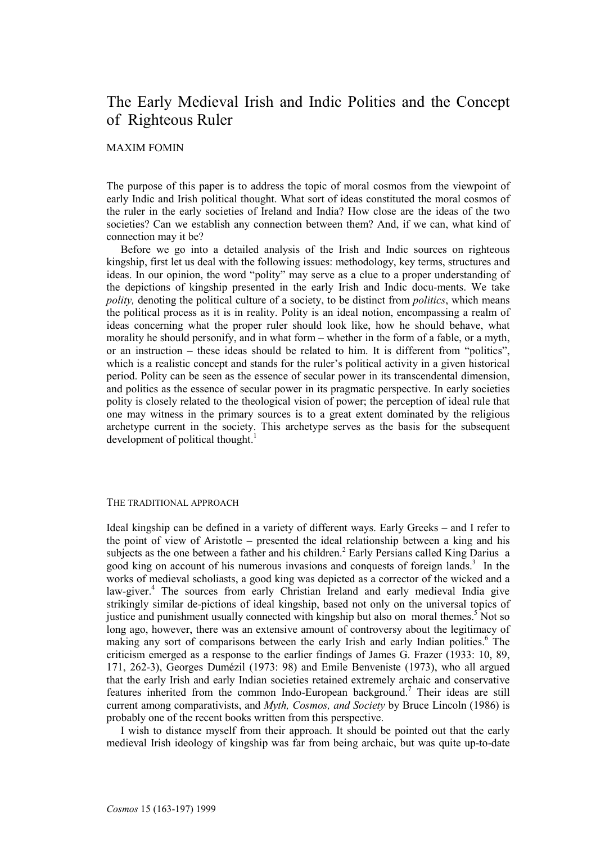# The Early Medieval Irish and Indic Polities and the Concept of Righteous Ruler

## MAXIM FOMIN

The purpose of this paper is to address the topic of moral cosmos from the viewpoint of early Indic and Irish political thought. What sort of ideas constituted the moral cosmos of the ruler in the early societies of Ireland and India? How close are the ideas of the two societies? Can we establish any connection between them? And, if we can, what kind of connection may it be?

Before we go into a detailed analysis of the Irish and Indic sources on righteous kingship, first let us deal with the following issues: methodology, key terms, structures and ideas. In our opinion, the word "polity" may serve as a clue to a proper understanding of the depictions of kingship presented in the early Irish and Indic docu-ments. We take polity, denoting the political culture of a society, to be distinct from *politics*, which means the political process as it is in reality. Polity is an ideal notion, encompassing a realm of ideas concerning what the proper ruler should look like, how he should behave, what morality he should personify, and in what form – whether in the form of a fable, or a myth, or an instruction – these ideas should be related to him. It is different from "politics", which is a realistic concept and stands for the ruler's political activity in a given historical period. Polity can be seen as the essence of secular power in its transcendental dimension, and politics as the essence of secular power in its pragmatic perspective. In early societies polity is closely related to the theological vision of power; the perception of ideal rule that one may witness in the primary sources is to a great extent dominated by the religious archetype current in the society. This archetype serves as the basis for the subsequent development of political thought.<sup>1</sup>

#### THE TRADITIONAL APPROACH

Ideal kingship can be defined in a variety of different ways. Early Greeks – and I refer to the point of view of Aristotle – presented the ideal relationship between a king and his subjects as the one between a father and his children.<sup>2</sup> Early Persians called King Darius a good king on account of his numerous invasions and conquests of foreign lands.<sup>3</sup> In the works of medieval scholiasts, a good king was depicted as a corrector of the wicked and a law-giver.<sup>4</sup> The sources from early Christian Ireland and early medieval India give strikingly similar de-pictions of ideal kingship, based not only on the universal topics of justice and punishment usually connected with kingship but also on moral themes.<sup>5</sup> Not so long ago, however, there was an extensive amount of controversy about the legitimacy of making any sort of comparisons between the early Irish and early Indian polities.<sup>6</sup> The criticism emerged as a response to the earlier findings of James G. Frazer (1933: 10, 89, 171, 262-3), Georges Dumézil (1973: 98) and Emile Benveniste (1973), who all argued that the early Irish and early Indian societies retained extremely archaic and conservative features inherited from the common Indo-European background.<sup>7</sup> Their ideas are still current among comparativists, and *Myth, Cosmos, and Society* by Bruce Lincoln (1986) is probably one of the recent books written from this perspective.

I wish to distance myself from their approach. It should be pointed out that the early medieval Irish ideology of kingship was far from being archaic, but was quite up-to-date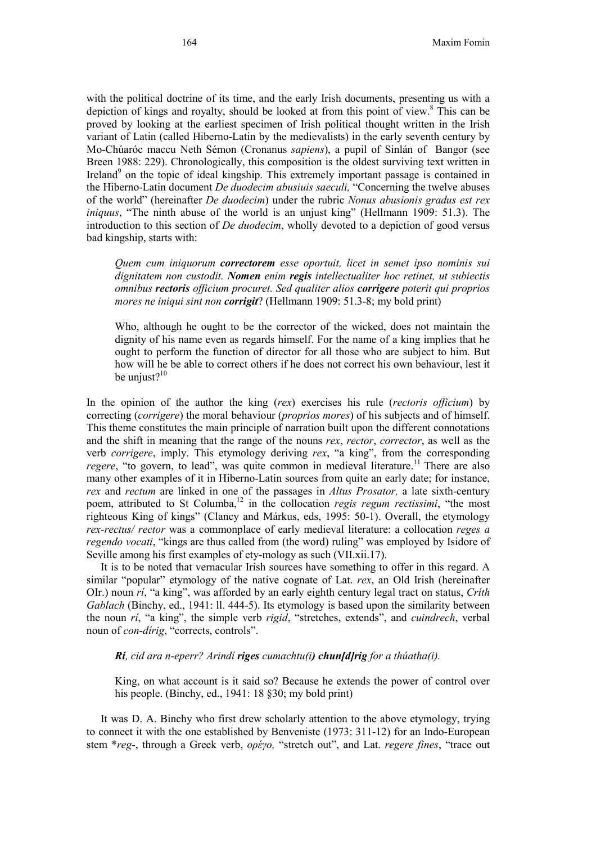with the political doctrine of its time, and the early Irish documents, presenting us with a depiction of kings and royalty, should be looked at from this point of view.<sup>8</sup> This can be proved by looking at the earliest specimen of Irish political thought written in the Irish variant of Latin (called Hiberno-Latin by the medievalists) in the early seventh century by Mo-Chúaróc maccu Neth Sémon (Cronanus sapiens), a pupil of Sinlán of Bangor (see Breen 1988: 229). Chronologically, this composition is the oldest surviving text written in Ireland<sup>9</sup> on the topic of ideal kingship. This extremely important passage is contained in the Hiberno-Latin document *De duodecim abusiuis saeculi*, "Concerning the twelve abuses of the world" (hereinafter De duodecim) under the rubric Nonus abusionis gradus est rex iniquus, "The ninth abuse of the world is an unjust king" (Hellmann 1909: 51.3). The introduction to this section of De duodecim, wholly devoted to a depiction of good versus bad kingship, starts with:

Quem cum iniquorum correctorem esse oportuit, licet in semet ipso nominis sui dignitatem non custodit. Nomen enim regis intellectualiter hoc retinet, ut subiectis omnibus rectoris officium procuret. Sed qualiter alios corrigere poterit qui proprios mores ne iniqui sint non **corrigit**? (Hellmann 1909: 51.3-8; my bold print)

Who, although he ought to be the corrector of the wicked, does not maintain the dignity of his name even as regards himself. For the name of a king implies that he ought to perform the function of director for all those who are subject to him. But how will he be able to correct others if he does not correct his own behaviour, lest it be uniust? $10$ 

In the opinion of the author the king  $(rex)$  exercises his rule (*rectoris officium*) by correcting (corrigere) the moral behaviour (proprios mores) of his subjects and of himself. This theme constitutes the main principle of narration built upon the different connotations and the shift in meaning that the range of the nouns *rex, rector, corrector*, as well as the verb corrigere, imply. This etymology deriving rex, "a king", from the corresponding *regere*, "to govern, to lead", was quite common in medieval literature.<sup>11</sup> There are also many other examples of it in Hiberno-Latin sources from quite an early date; for instance, rex and rectum are linked in one of the passages in *Altus Prosator*, a late sixth-century poem, attributed to St Columba,<sup>12</sup> in the collocation *regis regum rectissimi*, "the most righteous King of kings" (Clancy and Márkus, eds, 1995: 50-1). Overall, the etymology rex-rectus/ rector was a commonplace of early medieval literature: a collocation reges a regendo vocati, "kings are thus called from (the word) ruling" was employed by Isidore of Seville among his first examples of ety-mology as such (VII.xii.17).

It is to be noted that vernacular Irish sources have something to offer in this regard. A similar "popular" etymology of the native cognate of Lat.  $rex$ , an Old Irish (hereinafter OIr.) noun  $ri$ , "a king", was afforded by an early eighth century legal tract on status, Crith Gablach (Binchy, ed., 1941: ll. 444-5). Its etymology is based upon the similarity between the noun rí, "a king", the simple verb rigid, "stretches, extends", and cuindrech, verbal noun of con-dírig, "corrects, controls".

 $Ri$ , cid ara n-eperr? Arindí riges cumachtu(i) chun[d] rig for a thúatha(i).

King, on what account is it said so? Because he extends the power of control over his people. (Binchy, ed., 1941: 18 §30; my bold print)

It was D. A. Binchy who first drew scholarly attention to the above etymology, trying to connect it with the one established by Benveniste (1973: 311-12) for an Indo-European stem \*reg-, through a Greek verb, ορέγο, "stretch out", and Lat. regere fines, "trace out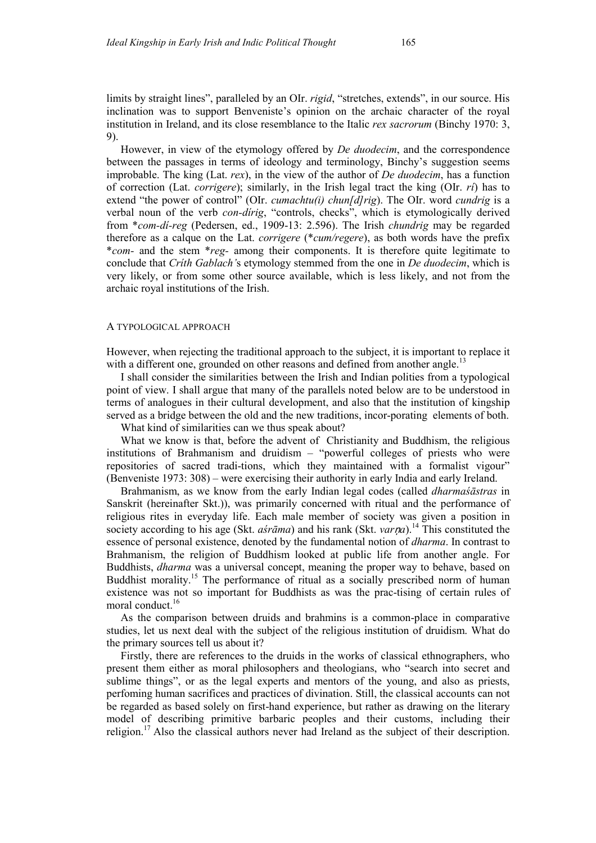limits by straight lines", paralleled by an OIr. rigid, "stretches, extends", in our source. His inclination was to support Benveniste's opinion on the archaic character of the royal institution in Ireland, and its close resemblance to the Italic *rex sacrorum* (Binchy 1970: 3, 9).

However, in view of the etymology offered by De duodecim, and the correspondence between the passages in terms of ideology and terminology, Binchy's suggestion seems improbable. The king (Lat.  $rex$ ), in the view of the author of *De duodecim*, has a function of correction (Lat. *corrigere*); similarly, in the Irish legal tract the king (OIr. *ri*) has to extend "the power of control" (OIr. *cumachtu(i) chun[d]rig*). The OIr. word *cundrig* is a verbal noun of the verb con-dírig, "controls, checks", which is etymologically derived from \*com-dí-reg (Pedersen, ed., 1909-13: 2.596). The Irish chundrig may be regarded therefore as a calque on the Lat. *corrigere* (\**cum/regere*), as both words have the prefix \*com- and the stem \*reg- among their components. It is therefore quite legitimate to conclude that Crith Gablach's etymology stemmed from the one in De duodecim, which is very likely, or from some other source available, which is less likely, and not from the archaic royal institutions of the Irish.

### A TYPOLOGICAL APPROACH

However, when rejecting the traditional approach to the subject, it is important to replace it with a different one, grounded on other reasons and defined from another angle.<sup>13</sup>

I shall consider the similarities between the Irish and Indian polities from a typological point of view. I shall argue that many of the parallels noted below are to be understood in terms of analogues in their cultural development, and also that the institution of kingship served as a bridge between the old and the new traditions, incor-porating elements of both.

What kind of similarities can we thus speak about?

What we know is that, before the advent of Christianity and Buddhism, the religious institutions of Brahmanism and druidism – "powerful colleges of priests who were repositories of sacred tradi-tions, which they maintained with a formalist vigour" (Benveniste 1973: 308) – were exercising their authority in early India and early Ireland.

Brahmanism, as we know from the early Indian legal codes (called *dharmasastras* in Sanskrit (hereinafter Skt.)), was primarily concerned with ritual and the performance of religious rites in everyday life. Each male member of society was given a position in society according to his age (Skt.  $a\acute{s}\acute{r}\bar{a}$ ma) and his rank (Skt. varma).<sup>14</sup> This constituted the essence of personal existence, denoted by the fundamental notion of dharma. In contrast to Brahmanism, the religion of Buddhism looked at public life from another angle. For Buddhists, dharma was a universal concept, meaning the proper way to behave, based on Buddhist morality.<sup>15</sup> The performance of ritual as a socially prescribed norm of human existence was not so important for Buddhists as was the prac-tising of certain rules of moral conduct.<sup>16</sup>

As the comparison between druids and brahmins is a common-place in comparative studies, let us next deal with the subject of the religious institution of druidism. What do the primary sources tell us about it?

Firstly, there are references to the druids in the works of classical ethnographers, who present them either as moral philosophers and theologians, who "search into secret and sublime things", or as the legal experts and mentors of the young, and also as priests, perfoming human sacrifices and practices of divination. Still, the classical accounts can not be regarded as based solely on first-hand experience, but rather as drawing on the literary model of describing primitive barbaric peoples and their customs, including their religion.<sup>17</sup>Also the classical authors never had Ireland as the subject of their description.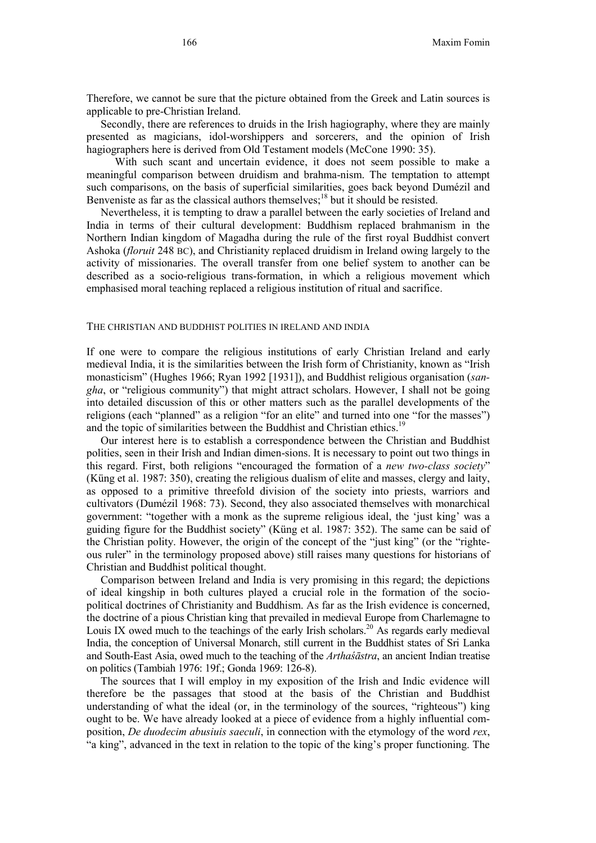Therefore, we cannot be sure that the picture obtained from the Greek and Latin sources is applicable to pre-Christian Ireland.

Secondly, there are references to druids in the Irish hagiography, where they are mainly presented as magicians, idol-worshippers and sorcerers, and the opinion of Irish hagiographers here is derived from Old Testament models (McCone 1990: 35).

With such scant and uncertain evidence, it does not seem possible to make a meaningful comparison between druidism and brahma-nism. The temptation to attempt such comparisons, on the basis of superficial similarities, goes back beyond Dumézil and Benveniste as far as the classical authors themselves;<sup>18</sup> but it should be resisted.

Nevertheless, it is tempting to draw a parallel between the early societies of Ireland and India in terms of their cultural development: Buddhism replaced brahmanism in the Northern Indian kingdom of Magadha during the rule of the first royal Buddhist convert Ashoka (floruit 248 BC), and Christianity replaced druidism in Ireland owing largely to the activity of missionaries. The overall transfer from one belief system to another can be described as a socio-religious trans-formation, in which a religious movement which emphasised moral teaching replaced a religious institution of ritual and sacrifice.

### THE CHRISTIAN AND BUDDHIST POLITIES IN IRELAND AND INDIA

If one were to compare the religious institutions of early Christian Ireland and early medieval India, it is the similarities between the Irish form of Christianity, known as "Irish monasticism" (Hughes 1966; Ryan 1992 [1931]), and Buddhist religious organisation (sangha, or "religious community") that might attract scholars. However, I shall not be going into detailed discussion of this or other matters such as the parallel developments of the religions (each "planned" as a religion "for an elite" and turned into one "for the masses") and the topic of similarities between the Buddhist and Christian ethics.<sup>19</sup>

Our interest here is to establish a correspondence between the Christian and Buddhist polities, seen in their Irish and Indian dimen-sions. It is necessary to point out two things in this regard. First, both religions "encouraged the formation of a new two-class society" (Küng et al. 1987: 350), creating the religious dualism of elite and masses, clergy and laity, as opposed to a primitive threefold division of the society into priests, warriors and cultivators (Dumézil 1968: 73). Second, they also associated themselves with monarchical government: "together with a monk as the supreme religious ideal, the 'just king' was a guiding figure for the Buddhist society" (Küng et al. 1987: 352). The same can be said of the Christian polity. However, the origin of the concept of the "just king" (or the "righteous ruler" in the terminology proposed above) still raises many questions for historians of Christian and Buddhist political thought.

Comparison between Ireland and India is very promising in this regard; the depictions of ideal kingship in both cultures played a crucial role in the formation of the sociopolitical doctrines of Christianity and Buddhism. As far as the Irish evidence is concerned, the doctrine of a pious Christian king that prevailed in medieval Europe from Charlemagne to Louis IX owed much to the teachings of the early Irish scholars.<sup>20</sup> As regards early medieval India, the conception of Universal Monarch, still current in the Buddhist states of Sri Lanka and South-East Asia, owed much to the teaching of the Arthaśāstra, an ancient Indian treatise on politics (Tambiah 1976: 19f.; Gonda 1969: 126-8).

The sources that I will employ in my exposition of the Irish and Indic evidence will therefore be the passages that stood at the basis of the Christian and Buddhist understanding of what the ideal (or, in the terminology of the sources, "righteous") king ought to be. We have already looked at a piece of evidence from a highly influential composition, De duodecim abusiuis saeculi, in connection with the etymology of the word rex, "a king", advanced in the text in relation to the topic of the king's proper functioning. The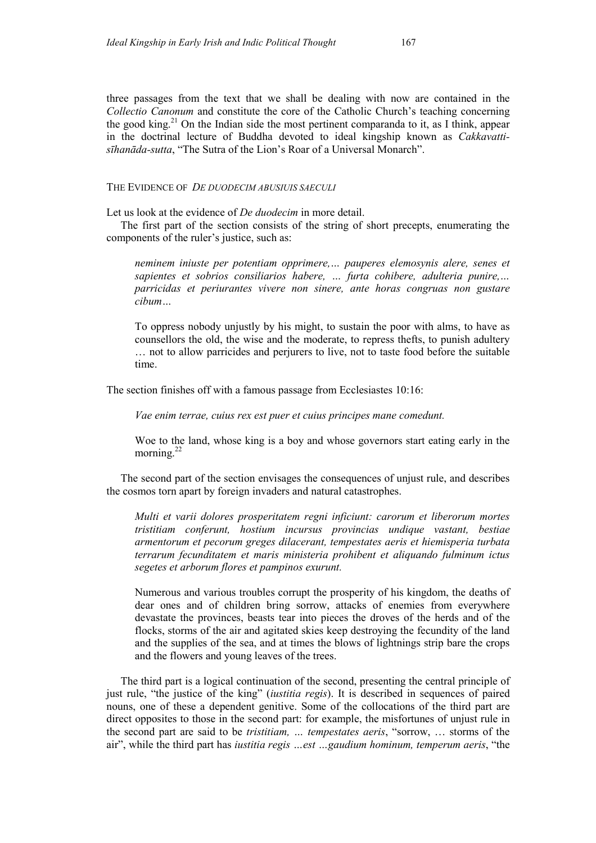THE EVIDENCE OF DE DUODECIM ABUSIUIS SAECULI

Let us look at the evidence of *De duodecim* in more detail.

The first part of the section consists of the string of short precepts, enumerating the components of the ruler's justice, such as:

neminem iniuste per potentiam opprimere,… pauperes elemosynis alere, senes et sapientes et sobrios consiliarios habere, … furta cohibere, adulteria punire,… parricidas et periurantes vivere non sinere, ante horas congruas non gustare cibum…

To oppress nobody unjustly by his might, to sustain the poor with alms, to have as counsellors the old, the wise and the moderate, to repress thefts, to punish adultery … not to allow parricides and perjurers to live, not to taste food before the suitable time.

The section finishes off with a famous passage from Ecclesiastes 10:16:

Vae enim terrae, cuius rex est puer et cuius principes mane comedunt.

Woe to the land, whose king is a boy and whose governors start eating early in the morning. $^{22}$ 

The second part of the section envisages the consequences of unjust rule, and describes the cosmos torn apart by foreign invaders and natural catastrophes.

Multi et varii dolores prosperitatem regni inficiunt: carorum et liberorum mortes tristitiam conferunt, hostium incursus provincias undique vastant, bestiae armentorum et pecorum greges dilacerant, tempestates aeris et hiemisperia turbata terrarum fecunditatem et maris ministeria prohibent et aliquando fulminum ictus segetes et arborum flores et pampinos exurunt.

Numerous and various troubles corrupt the prosperity of his kingdom, the deaths of dear ones and of children bring sorrow, attacks of enemies from everywhere devastate the provinces, beasts tear into pieces the droves of the herds and of the flocks, storms of the air and agitated skies keep destroying the fecundity of the land and the supplies of the sea, and at times the blows of lightnings strip bare the crops and the flowers and young leaves of the trees.

The third part is a logical continuation of the second, presenting the central principle of just rule, "the justice of the king" (iustitia regis). It is described in sequences of paired nouns, one of these a dependent genitive. Some of the collocations of the third part are direct opposites to those in the second part: for example, the misfortunes of unjust rule in the second part are said to be tristitiam, … tempestates aeris, "sorrow, … storms of the air", while the third part has iustitia regis …est …gaudium hominum, temperum aeris, "the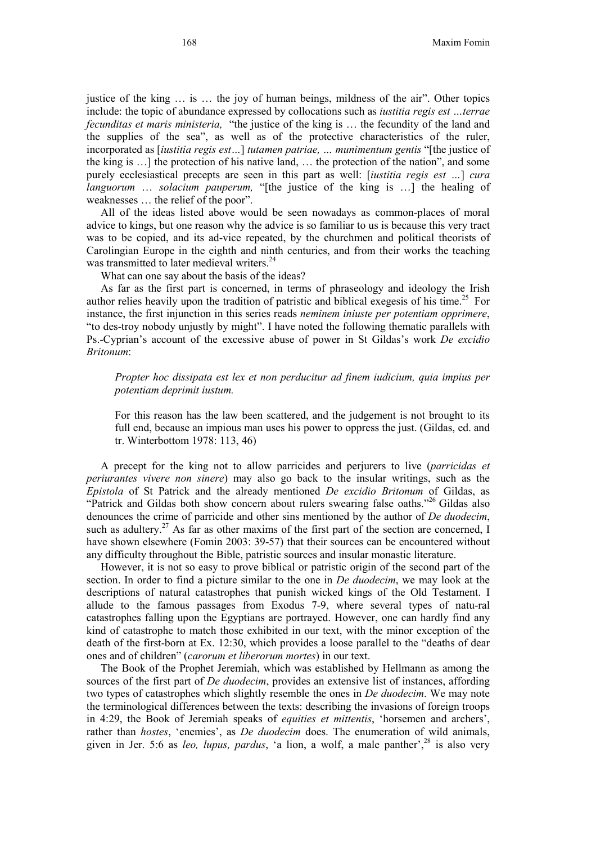justice of the king … is … the joy of human beings, mildness of the air". Other topics include: the topic of abundance expressed by collocations such as iustitia regis est …terrae fecunditas et maris ministeria, "the justice of the king is ... the fecundity of the land and the supplies of the sea", as well as of the protective characteristics of the ruler, incorporated as [iustitia regis est...] tutamen patriae, ... munimentum gentis "[the justice of the king is …] the protection of his native land, … the protection of the nation", and some purely ecclesiastical precepts are seen in this part as well: [iustitia regis est …] cura languorum ... solacium pauperum, "[the justice of the king is ...] the healing of weaknesses … the relief of the poor".

All of the ideas listed above would be seen nowadays as common-places of moral advice to kings, but one reason why the advice is so familiar to us is because this very tract was to be copied, and its ad-vice repeated, by the churchmen and political theorists of Carolingian Europe in the eighth and ninth centuries, and from their works the teaching was transmitted to later medieval writers.<sup>24</sup>

What can one say about the basis of the ideas?

As far as the first part is concerned, in terms of phraseology and ideology the Irish author relies heavily upon the tradition of patristic and biblical exegesis of his time.<sup>25</sup> For instance, the first injunction in this series reads neminem iniuste per potentiam opprimere, "to des-troy nobody unjustly by might". I have noted the following thematic parallels with Ps.-Cyprian's account of the excessive abuse of power in St Gildas's work De excidio Britonum:

Propter hoc dissipata est lex et non perducitur ad finem iudicium, quia impius per potentiam deprimit iustum.

For this reason has the law been scattered, and the judgement is not brought to its full end, because an impious man uses his power to oppress the just. (Gildas, ed. and tr. Winterbottom 1978: 113, 46)

A precept for the king not to allow parricides and perjurers to live (parricidas et periurantes vivere non sinere) may also go back to the insular writings, such as the Epistola of St Patrick and the already mentioned De excidio Britonum of Gildas, as "Patrick and Gildas both show concern about rulers swearing false oaths."<sup>26</sup> Gildas also denounces the crime of parricide and other sins mentioned by the author of De duodecim, such as adultery.<sup>27</sup> As far as other maxims of the first part of the section are concerned, I have shown elsewhere (Fomin 2003: 39-57) that their sources can be encountered without any difficulty throughout the Bible, patristic sources and insular monastic literature.

However, it is not so easy to prove biblical or patristic origin of the second part of the section. In order to find a picture similar to the one in De duodecim, we may look at the descriptions of natural catastrophes that punish wicked kings of the Old Testament. I allude to the famous passages from Exodus 7-9, where several types of natu-ral catastrophes falling upon the Egyptians are portrayed. However, one can hardly find any kind of catastrophe to match those exhibited in our text, with the minor exception of the death of the first-born at Ex. 12:30, which provides a loose parallel to the "deaths of dear ones and of children" (carorum et liberorum mortes) in our text.

The Book of the Prophet Jeremiah, which was established by Hellmann as among the sources of the first part of *De duodecim*, provides an extensive list of instances, affording two types of catastrophes which slightly resemble the ones in *De duodecim*. We may note the terminological differences between the texts: describing the invasions of foreign troops in 4:29, the Book of Jeremiah speaks of equities et mittentis, 'horsemen and archers', rather than hostes, 'enemies', as De duodecim does. The enumeration of wild animals, given in Jer. 5:6 as *leo, lupus, pardus*, 'a lion, a wolf, a male panther', <sup>28</sup> is also very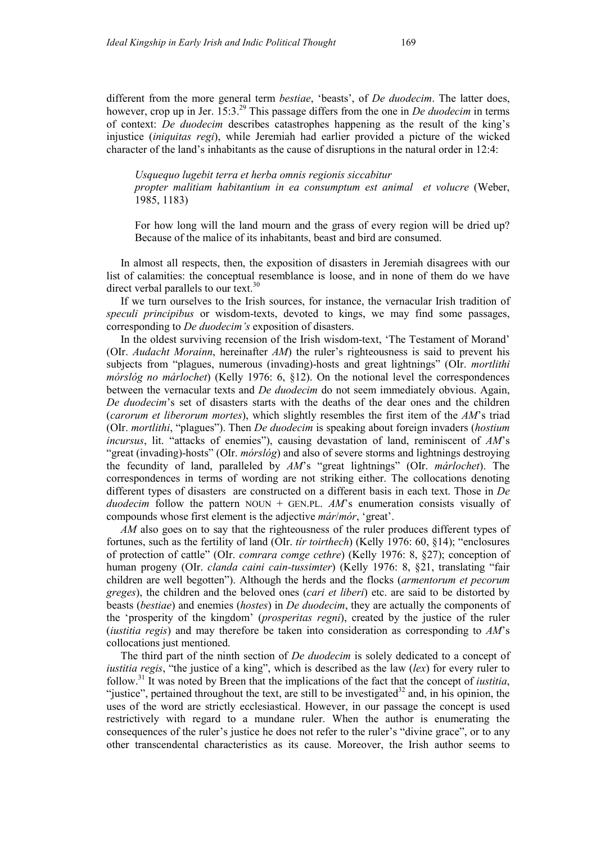different from the more general term *bestiae*, 'beasts', of *De duodecim*. The latter does, however, crop up in Jer.  $15:3.^{29}$  This passage differs from the one in *De duodecim* in terms of context: De duodecim describes catastrophes happening as the result of the king's injustice (iniquitas regi), while Jeremiah had earlier provided a picture of the wicked character of the land's inhabitants as the cause of disruptions in the natural order in 12:4:

Usquequo lugebit terra et herba omnis regionis siccabitur propter malitiam habitantium in ea consumptum est animal et volucre (Weber, 1985, 1183)

For how long will the land mourn and the grass of every region will be dried up? Because of the malice of its inhabitants, beast and bird are consumed.

In almost all respects, then, the exposition of disasters in Jeremiah disagrees with our list of calamities: the conceptual resemblance is loose, and in none of them do we have direct verbal parallels to our text.<sup>30</sup>

If we turn ourselves to the Irish sources, for instance, the vernacular Irish tradition of speculi principibus or wisdom-texts, devoted to kings, we may find some passages, corresponding to De duodecim's exposition of disasters.

In the oldest surviving recension of the Irish wisdom-text, 'The Testament of Morand' (OIr. *Audacht Morainn*, hereinafter  $AM$ ) the ruler's righteousness is said to prevent his subjects from "plagues, numerous (invading)-hosts and great lightnings" (OIr. *mortlithi* mórslóg no márlochet) (Kelly 1976: 6, §12). On the notional level the correspondences between the vernacular texts and *De duodecim* do not seem immediately obvious. Again, De duodecim's set of disasters starts with the deaths of the dear ones and the children (carorum et liberorum mortes), which slightly resembles the first item of the AM's triad (OIr. mortlithi, "plagues"). Then De duodecim is speaking about foreign invaders (hostium incursus, lit. "attacks of enemies"), causing devastation of land, reminiscent of AM's "great (invading)-hosts" (OIr. *mórslóg*) and also of severe storms and lightnings destroying the fecundity of land, paralleled by AM's "great lightnings" (OIr. márlochet). The correspondences in terms of wording are not striking either. The collocations denoting different types of disasters are constructed on a different basis in each text. Those in De duodecim follow the pattern NOUN + GEN.PL.  $AM$ 's enumeration consists visually of compounds whose first element is the adjective már/mór, 'great'.

AM also goes on to say that the righteousness of the ruler produces different types of fortunes, such as the fertility of land (OIr. tír toirthech) (Kelly 1976: 60, §14); "enclosures of protection of cattle" (OIr. comrara comge cethre) (Kelly 1976: 8, §27); conception of human progeny (OIr. *clanda caini cain-tussimter*) (Kelly 1976: 8, §21, translating "fair children are well begotten"). Although the herds and the flocks (armentorum et pecorum greges), the children and the beloved ones *(cari et liberi)* etc. are said to be distorted by beasts (bestiae) and enemies (hostes) in De duodecim, they are actually the components of the 'prosperity of the kingdom' (prosperitas regni), created by the justice of the ruler (*iustitia regis*) and may therefore be taken into consideration as corresponding to  $AM$ 's collocations just mentioned.

The third part of the ninth section of *De duodecim* is solely dedicated to a concept of *iustitia regis*, "the justice of a king", which is described as the law (lex) for every ruler to follow.<sup>31</sup> It was noted by Breen that the implications of the fact that the concept of *iustitia*, "justice", pertained throughout the text, are still to be investigated<sup>32</sup> and, in his opinion, the uses of the word are strictly ecclesiastical. However, in our passage the concept is used restrictively with regard to a mundane ruler. When the author is enumerating the consequences of the ruler's justice he does not refer to the ruler's "divine grace", or to any other transcendental characteristics as its cause. Moreover, the Irish author seems to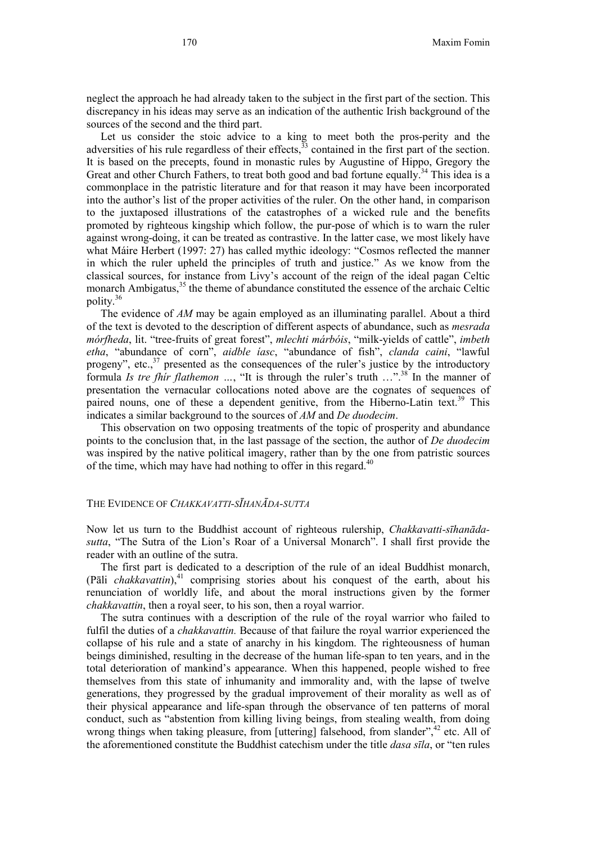neglect the approach he had already taken to the subject in the first part of the section. This discrepancy in his ideas may serve as an indication of the authentic Irish background of the sources of the second and the third part.

Let us consider the stoic advice to a king to meet both the pros-perity and the adversities of his rule regardless of their effects,  $33$  contained in the first part of the section. It is based on the precepts, found in monastic rules by Augustine of Hippo, Gregory the Great and other Church Fathers, to treat both good and bad fortune equally.<sup>34</sup> This idea is a commonplace in the patristic literature and for that reason it may have been incorporated into the author's list of the proper activities of the ruler. On the other hand, in comparison to the juxtaposed illustrations of the catastrophes of a wicked rule and the benefits promoted by righteous kingship which follow, the pur-pose of which is to warn the ruler against wrong-doing, it can be treated as contrastive. In the latter case, we most likely have what Máire Herbert (1997: 27) has called mythic ideology: "Cosmos reflected the manner in which the ruler upheld the principles of truth and justice." As we know from the classical sources, for instance from Livy's account of the reign of the ideal pagan Celtic monarch Ambigatus,<sup>35</sup> the theme of abundance constituted the essence of the archaic Celtic polity.<sup>36</sup>

The evidence of AM may be again employed as an illuminating parallel. About a third of the text is devoted to the description of different aspects of abundance, such as mesrada mórfheda, lit. "tree-fruits of great forest", mlechti márbóis, "milk-yields of cattle", imbeth etha, "abundance of corn", aidble íasc, "abundance of fish", clanda caini, "lawful progeny", etc.,<sup>37</sup> presented as the consequences of the ruler's justice by the introductory formula Is tre fhir flathemon  $\ldots$ , "It is through the ruler's truth  $\ldots$ ".<sup>38</sup> In the manner of presentation the vernacular collocations noted above are the cognates of sequences of paired nouns, one of these a dependent genitive, from the Hiberno-Latin text.<sup>39</sup> This indicates a similar background to the sources of AM and De duodecim.

This observation on two opposing treatments of the topic of prosperity and abundance points to the conclusion that, in the last passage of the section, the author of De duodecim was inspired by the native political imagery, rather than by the one from patristic sources of the time, which may have had nothing to offer in this regard.<sup>40</sup>

## THE EVIDENCE OF CHAKKAVATTI-SĪHANĀDA-SUTTA

Now let us turn to the Buddhist account of righteous rulership, Chakkavatti-sīhanādasutta, "The Sutra of the Lion's Roar of a Universal Monarch". I shall first provide the reader with an outline of the sutra.

The first part is dedicated to a description of the rule of an ideal Buddhist monarch, (Pāli *chakkavattin*),<sup>41</sup> comprising stories about his conquest of the earth, about his renunciation of worldly life, and about the moral instructions given by the former chakkavattin, then a royal seer, to his son, then a royal warrior.

The sutra continues with a description of the rule of the royal warrior who failed to fulfil the duties of a *chakkavattin*. Because of that failure the royal warrior experienced the collapse of his rule and a state of anarchy in his kingdom. The righteousness of human beings diminished, resulting in the decrease of the human life-span to ten years, and in the total deterioration of mankind's appearance. When this happened, people wished to free themselves from this state of inhumanity and immorality and, with the lapse of twelve generations, they progressed by the gradual improvement of their morality as well as of their physical appearance and life-span through the observance of ten patterns of moral conduct, such as "abstention from killing living beings, from stealing wealth, from doing wrong things when taking pleasure, from [uttering] falsehood, from slander",<sup>42</sup> etc. All of the aforementioned constitute the Buddhist catechism under the title *dasa sīla*, or "ten rules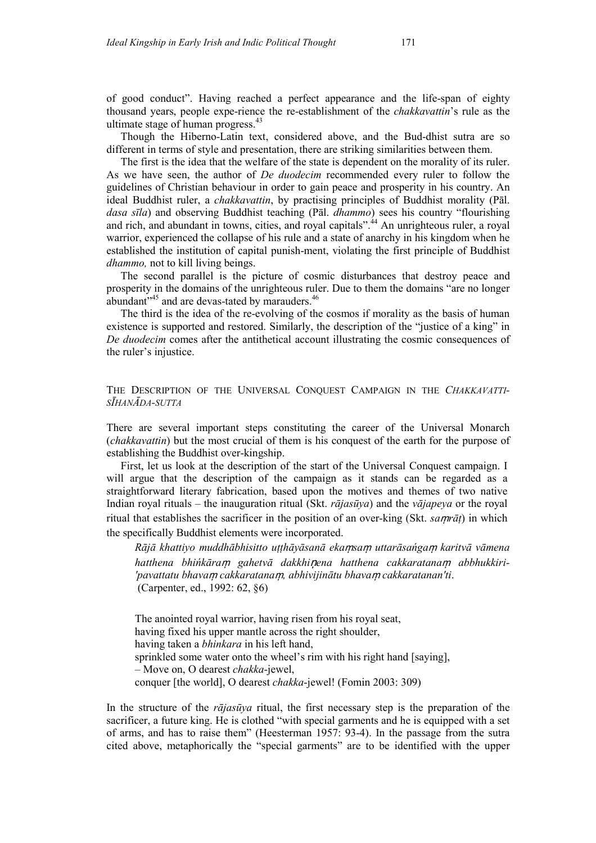of good conduct". Having reached a perfect appearance and the life-span of eighty thousand years, people expe-rience the re-establishment of the chakkavattin's rule as the ultimate stage of human progress.<sup>43</sup>

Though the Hiberno-Latin text, considered above, and the Bud-dhist sutra are so different in terms of style and presentation, there are striking similarities between them.

The first is the idea that the welfare of the state is dependent on the morality of its ruler. As we have seen, the author of *De duodecim* recommended every ruler to follow the guidelines of Christian behaviour in order to gain peace and prosperity in his country. An ideal Buddhist ruler, a *chakkavattin*, by practising principles of Buddhist morality (Pal. dasa sīla) and observing Buddhist teaching (Pāl. dhammo) sees his country "flourishing and rich, and abundant in towns, cities, and royal capitals".<sup>44</sup> An unrighteous ruler, a royal warrior, experienced the collapse of his rule and a state of anarchy in his kingdom when he established the institution of capital punish-ment, violating the first principle of Buddhist dhammo, not to kill living beings.

The second parallel is the picture of cosmic disturbances that destroy peace and prosperity in the domains of the unrighteous ruler. Due to them the domains "are no longer abundant<sup>5,45</sup> and are devas-tated by marauders.<sup>46</sup>

The third is the idea of the re-evolving of the cosmos if morality as the basis of human existence is supported and restored. Similarly, the description of the "justice of a king" in De duodecim comes after the antithetical account illustrating the cosmic consequences of the ruler's injustice.

THE DESCRIPTION OF THE UNIVERSAL CONQUEST CAMPAIGN IN THE CHAKKAVATTI-SĪHANĀDA-SUTTA

There are several important steps constituting the career of the Universal Monarch (chakkavattin) but the most crucial of them is his conquest of the earth for the purpose of establishing the Buddhist over-kingship.

First, let us look at the description of the start of the Universal Conquest campaign. I will argue that the description of the campaign as it stands can be regarded as a straightforward literary fabrication, based upon the motives and themes of two native Indian royal rituals – the inauguration ritual (Skt.  $r\bar{q}jas\bar{u}v\bar{a}$ ) and the  $v\bar{q}japev\bar{a}$  or the royal ritual that establishes the sacrificer in the position of an over-king (Skt.  $\text{sqrt}$ ) in which the specifically Buddhist elements were incorporated.

Rājā khattiyo muddhābhisitto uṭṭhāyāsanā ekaṃsaṃ uttarāsaṅgaṃ karitvā vāmena hatthena bhińkāraṃ gahetvā dakkhiņena hatthena cakkaratanaṃ abbhukkiri-'pavattatu bhavaṃ cakkaratanaṃ, abhivijinātu bhavaṃ cakkaratanan'ti. (Carpenter, ed., 1992: 62, §6)

The anointed royal warrior, having risen from his royal seat, having fixed his upper mantle across the right shoulder, having taken a *bhinkara* in his left hand, sprinkled some water onto the wheel's rim with his right hand [saying], – Move on, O dearest chakka-jewel, conquer [the world], O dearest chakka-jewel! (Fomin 2003: 309)

In the structure of the *rājasūva* ritual, the first necessary step is the preparation of the sacrificer, a future king. He is clothed "with special garments and he is equipped with a set of arms, and has to raise them" (Heesterman 1957: 93-4). In the passage from the sutra cited above, metaphorically the "special garments" are to be identified with the upper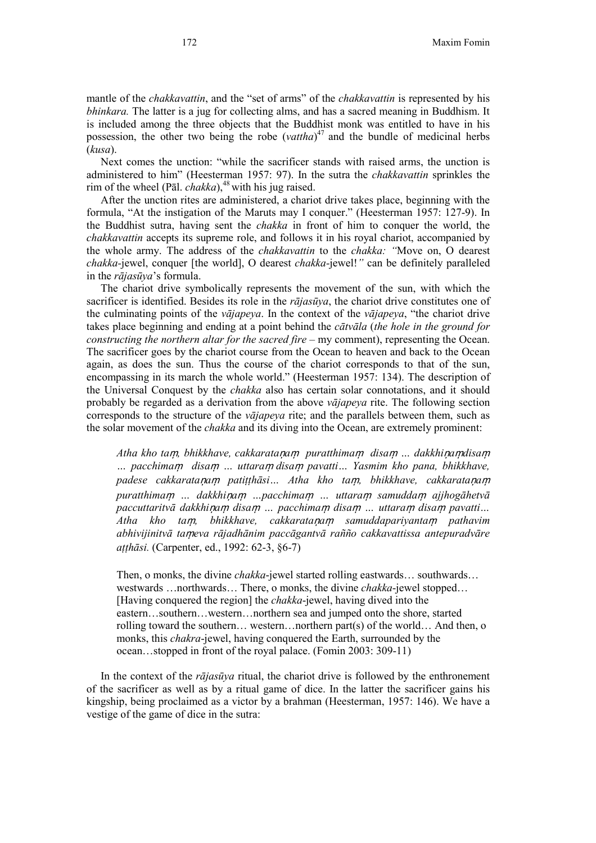mantle of the *chakkavattin*, and the "set of arms" of the *chakkavattin* is represented by his bhinkara. The latter is a jug for collecting alms, and has a sacred meaning in Buddhism. It is included among the three objects that the Buddhist monk was entitled to have in his possession, the other two being the robe  $(vattha)^{47}$  and the bundle of medicinal herbs (kusa).

Next comes the unction: "while the sacrificer stands with raised arms, the unction is administered to him" (Heesterman 1957: 97). In the sutra the chakkavattin sprinkles the rim of the wheel (Pāl. *chakka*),  $^{48}$  with his jug raised.

After the unction rites are administered, a chariot drive takes place, beginning with the formula, "At the instigation of the Maruts may I conquer." (Heesterman 1957: 127-9). In the Buddhist sutra, having sent the chakka in front of him to conquer the world, the chakkavattin accepts its supreme role, and follows it in his royal chariot, accompanied by the whole army. The address of the chakkavattin to the chakka: "Move on, O dearest chakka-jewel, conquer [the world], O dearest chakka-jewel!" can be definitely paralleled in the rājasūya's formula.

The chariot drive symbolically represents the movement of the sun, with which the sacrificer is identified. Besides its role in the  $r\bar{a}jas\bar{u}v\alpha$ , the chariot drive constitutes one of the culminating points of the vājapeya. In the context of the vājapeya, "the chariot drive takes place beginning and ending at a point behind the *cātvāla (the hole in the ground for* constructing the northern altar for the sacred fire – my comment), representing the Ocean. The sacrificer goes by the chariot course from the Ocean to heaven and back to the Ocean again, as does the sun. Thus the course of the chariot corresponds to that of the sun, encompassing in its march the whole world." (Heesterman 1957: 134). The description of the Universal Conquest by the chakka also has certain solar connotations, and it should probably be regarded as a derivation from the above vājapeya rite. The following section corresponds to the structure of the *vajapeya* rite; and the parallels between them, such as the solar movement of the *chakka* and its diving into the Ocean, are extremely prominent:

Atha kho tam, bhikkhave, cakkaratanam puratthimam disam ... dakkhinamdisam ... pacchimam disam ... uttaram disam pavatti... Yasmim kho pana, bhikkhave, padese cakkarataņam patiṭṭhāsi... Atha kho taṃ, bhikkhave, cakkarataṇaṃ puratthimam ... dakkhiņam ...pacchimam ... uttaram samuddam ajjhogāhetvā paccuttaritvā dakkhiņam disam ... pacchimam disam ... uttaram disam pavatti... Atha kho taṃ, bhikkhave, cakkarataṇaṃ samuddapariyantaṃ pathavim abhivijinitvā tameva rājadhānim paccāgantvā rañño cakkavattissa antepuradvāre atthāsi. (Carpenter, ed., 1992: 62-3, 86-7)

Then, o monks, the divine *chakka*-jewel started rolling eastwards… southwards… westwards …northwards… There, o monks, the divine chakka-jewel stopped… [Having conquered the region] the chakka-jewel, having dived into the eastern…southern…western…northern sea and jumped onto the shore, started rolling toward the southern… western…northern part(s) of the world… And then, o monks, this chakra-jewel, having conquered the Earth, surrounded by the ocean…stopped in front of the royal palace. (Fomin 2003: 309-11)

In the context of the  $r\bar{a}jas\bar{u}v\bar{a}$  ritual, the chariot drive is followed by the enthronement of the sacrificer as well as by a ritual game of dice. In the latter the sacrificer gains his kingship, being proclaimed as a victor by a brahman (Heesterman, 1957: 146). We have a vestige of the game of dice in the sutra: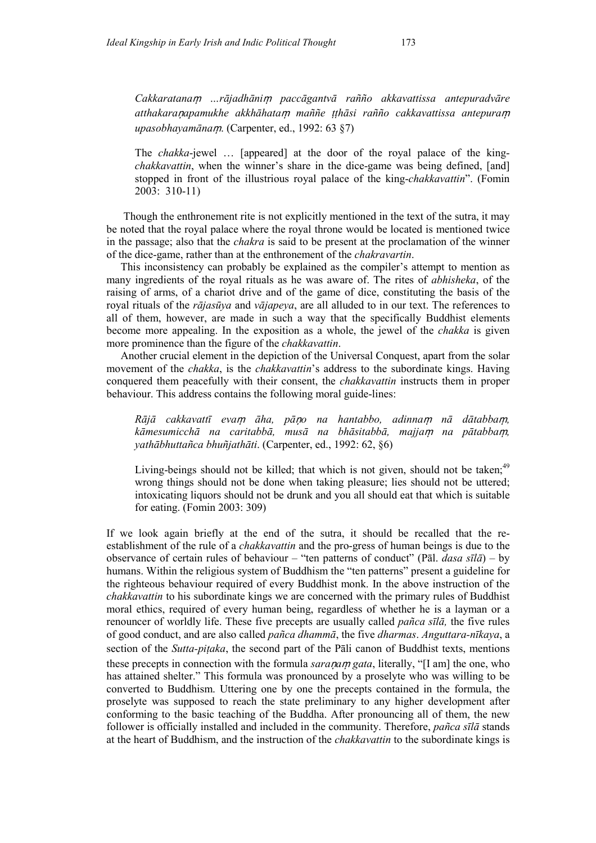Cakkaratanam ...rājadhānim paccāgantvā rañño akkavattissa antepuradvāre atthakaraņapamukhe akkhāhataṃ maññe ṭṭhāsi rañño cakkavattissa antepuraṃ upasobhayamānam. (Carpenter, ed., 1992: 63 §7)

The chakka-jewel … [appeared] at the door of the royal palace of the kingchakkavattin, when the winner's share in the dice-game was being defined, [and] stopped in front of the illustrious royal palace of the king-chakkavattin". (Fomin 2003: 310-11)

 Though the enthronement rite is not explicitly mentioned in the text of the sutra, it may be noted that the royal palace where the royal throne would be located is mentioned twice in the passage; also that the chakra is said to be present at the proclamation of the winner of the dice-game, rather than at the enthronement of the chakravartin.

This inconsistency can probably be explained as the compiler's attempt to mention as many ingredients of the royal rituals as he was aware of. The rites of abhisheka, of the raising of arms, of a chariot drive and of the game of dice, constituting the basis of the royal rituals of the rājasūya and vājapeya, are all alluded to in our text. The references to all of them, however, are made in such a way that the specifically Buddhist elements become more appealing. In the exposition as a whole, the jewel of the chakka is given more prominence than the figure of the chakkavattin.

Another crucial element in the depiction of the Universal Conquest, apart from the solar movement of the *chakka*, is the *chakkavattin's* address to the subordinate kings. Having conquered them peacefully with their consent, the chakkavattin instructs them in proper behaviour. This address contains the following moral guide-lines:

Rājā cakkavattī evaṃ āha, pāṇo na hantabbo, adinnaṃ nā dātabbaṃ, kāmesumicchā na caritabbā, musā na bhāsitabbā, majjaṃ na pātabbaṃ, yathābhuttañca bhuñjathāti. (Carpenter, ed., 1992: 62, §6)

Living-beings should not be killed; that which is not given, should not be taken; $49$ wrong things should not be done when taking pleasure; lies should not be uttered; intoxicating liquors should not be drunk and you all should eat that which is suitable for eating. (Fomin 2003: 309)

If we look again briefly at the end of the sutra, it should be recalled that the reestablishment of the rule of a *chakkavattin* and the pro-gress of human beings is due to the observance of certain rules of behaviour – "ten patterns of conduct" (Pāl. dasa sīlā) – by humans. Within the religious system of Buddhism the "ten patterns" present a guideline for the righteous behaviour required of every Buddhist monk. In the above instruction of the chakkavattin to his subordinate kings we are concerned with the primary rules of Buddhist moral ethics, required of every human being, regardless of whether he is a layman or a renouncer of worldly life. These five precepts are usually called *pañca sīlā*, the five rules of good conduct, and are also called pañca dhammā, the five dharmas. Anguttara-nīkaya, a section of the *Sutta-pitaka*, the second part of the Pali canon of Buddhist texts, mentions these precepts in connection with the formula sarapapp gata, literally, "[I am] the one, who has attained shelter." This formula was pronounced by a proselyte who was willing to be converted to Buddhism. Uttering one by one the precepts contained in the formula, the proselyte was supposed to reach the state preliminary to any higher development after conforming to the basic teaching of the Buddha. After pronouncing all of them, the new follower is officially installed and included in the community. Therefore, *pañca sīlā* stands at the heart of Buddhism, and the instruction of the *chakkavattin* to the subordinate kings is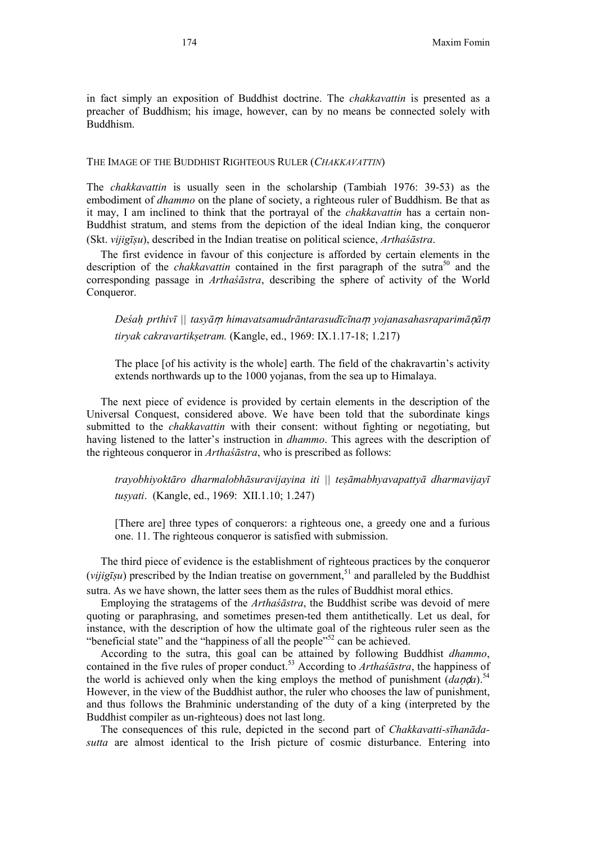in fact simply an exposition of Buddhist doctrine. The *chakkavattin* is presented as a preacher of Buddhism; his image, however, can by no means be connected solely with Buddhism.

#### THE IMAGE OF THE BUDDHIST RIGHTEOUS RULER (CHAKKAVATTIN)

The chakkavattin is usually seen in the scholarship (Tambiah 1976: 39-53) as the embodiment of *dhammo* on the plane of society, a righteous ruler of Buddhism. Be that as it may, I am inclined to think that the portrayal of the chakkavattin has a certain non-Buddhist stratum, and stems from the depiction of the ideal Indian king, the conqueror (Skt. vijigīșu), described in the Indian treatise on political science, Arthaśāstra.

The first evidence in favour of this conjecture is afforded by certain elements in the description of the *chakkavattin* contained in the first paragraph of the sutra<sup>50</sup> and the corresponding passage in Arthaśāstra, describing the sphere of activity of the World Conqueror.

Deśa $h$  prthivī  $\parallel$  tasyā $\eta$  himavatsamudrāntarasudīcīna $\eta$  yojanasahasraparimāņā $\eta$ tiryak cakravartiksetram. (Kangle, ed., 1969: IX.1.17-18; 1.217)

The place [of his activity is the whole] earth. The field of the chakravartin's activity extends northwards up to the 1000 yojanas, from the sea up to Himalaya.

The next piece of evidence is provided by certain elements in the description of the Universal Conquest, considered above. We have been told that the subordinate kings submitted to the *chakkavattin* with their consent: without fighting or negotiating, but having listened to the latter's instruction in *dhammo*. This agrees with the description of the righteous conqueror in Arthaśāstra, who is prescribed as follows:

trayobhiyoktāro dharmalobhāsuravijayina iti || tesāmabhyavapattyā dharmavijayī tusyati. (Kangle, ed., 1969: XII.1.10; 1.247)

[There are] three types of conquerors: a righteous one, a greedy one and a furious one. 11. The righteous conqueror is satisfied with submission.

The third piece of evidence is the establishment of righteous practices by the conqueror (vijigīșu) prescribed by the Indian treatise on government,<sup>51</sup> and paralleled by the Buddhist sutra. As we have shown, the latter sees them as the rules of Buddhist moral ethics.

Employing the stratagems of the Arthaśāstra, the Buddhist scribe was devoid of mere quoting or paraphrasing, and sometimes presen-ted them antithetically. Let us deal, for instance, with the description of how the ultimate goal of the righteous ruler seen as the "beneficial state" and the "happiness of all the people"<sup>52</sup> can be achieved.

According to the sutra, this goal can be attained by following Buddhist dhammo, contained in the five rules of proper conduct.<sup>53</sup> According to Arthasas fra, the happiness of the world is achieved only when the king employs the method of punishment  $(danda)$ .<sup>54</sup> However, in the view of the Buddhist author, the ruler who chooses the law of punishment, and thus follows the Brahminic understanding of the duty of a king (interpreted by the Buddhist compiler as un-righteous) does not last long.

The consequences of this rule, depicted in the second part of Chakkavatti-sīhanādasutta are almost identical to the Irish picture of cosmic disturbance. Entering into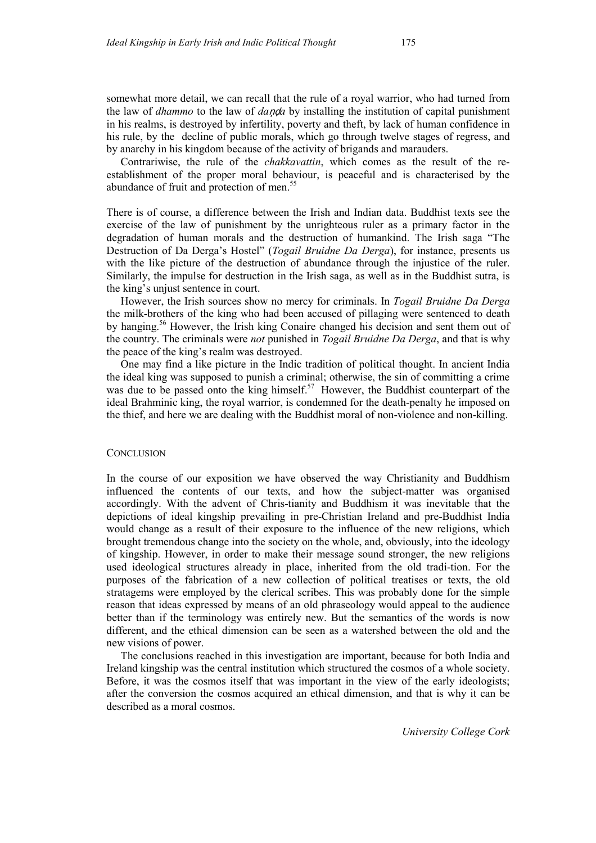somewhat more detail, we can recall that the rule of a royal warrior, who had turned from the law of *dhammo* to the law of  $\frac{da \eta da}{\phi}$  by installing the institution of capital punishment in his realms, is destroyed by infertility, poverty and theft, by lack of human confidence in his rule, by the decline of public morals, which go through twelve stages of regress, and by anarchy in his kingdom because of the activity of brigands and marauders.

Contrariwise, the rule of the *chakkavattin*, which comes as the result of the reestablishment of the proper moral behaviour, is peaceful and is characterised by the abundance of fruit and protection of men.<sup>55</sup>

There is of course, a difference between the Irish and Indian data. Buddhist texts see the exercise of the law of punishment by the unrighteous ruler as a primary factor in the degradation of human morals and the destruction of humankind. The Irish saga "The Destruction of Da Derga's Hostel" (*Togail Bruidne Da Derga*), for instance, presents us with the like picture of the destruction of abundance through the injustice of the ruler. Similarly, the impulse for destruction in the Irish saga, as well as in the Buddhist sutra, is the king's unjust sentence in court.

However, the Irish sources show no mercy for criminals. In Togail Bruidne Da Derga the milk-brothers of the king who had been accused of pillaging were sentenced to death by hanging.<sup>56</sup> However, the Irish king Conaire changed his decision and sent them out of the country. The criminals were *not* punished in *Togail Bruidne Da Derga*, and that is why the peace of the king's realm was destroyed.

One may find a like picture in the Indic tradition of political thought. In ancient India the ideal king was supposed to punish a criminal; otherwise, the sin of committing a crime was due to be passed onto the king himself.<sup>57</sup> However, the Buddhist counterpart of the ideal Brahminic king, the royal warrior, is condemned for the death-penalty he imposed on the thief, and here we are dealing with the Buddhist moral of non-violence and non-killing.

#### **CONCLUSION**

In the course of our exposition we have observed the way Christianity and Buddhism influenced the contents of our texts, and how the subject-matter was organised accordingly. With the advent of Chris-tianity and Buddhism it was inevitable that the depictions of ideal kingship prevailing in pre-Christian Ireland and pre-Buddhist India would change as a result of their exposure to the influence of the new religions, which brought tremendous change into the society on the whole, and, obviously, into the ideology of kingship. However, in order to make their message sound stronger, the new religions used ideological structures already in place, inherited from the old tradi-tion. For the purposes of the fabrication of a new collection of political treatises or texts, the old stratagems were employed by the clerical scribes. This was probably done for the simple reason that ideas expressed by means of an old phraseology would appeal to the audience better than if the terminology was entirely new. But the semantics of the words is now different, and the ethical dimension can be seen as a watershed between the old and the new visions of power.

The conclusions reached in this investigation are important, because for both India and Ireland kingship was the central institution which structured the cosmos of a whole society. Before, it was the cosmos itself that was important in the view of the early ideologists; after the conversion the cosmos acquired an ethical dimension, and that is why it can be described as a moral cosmos.

University College Cork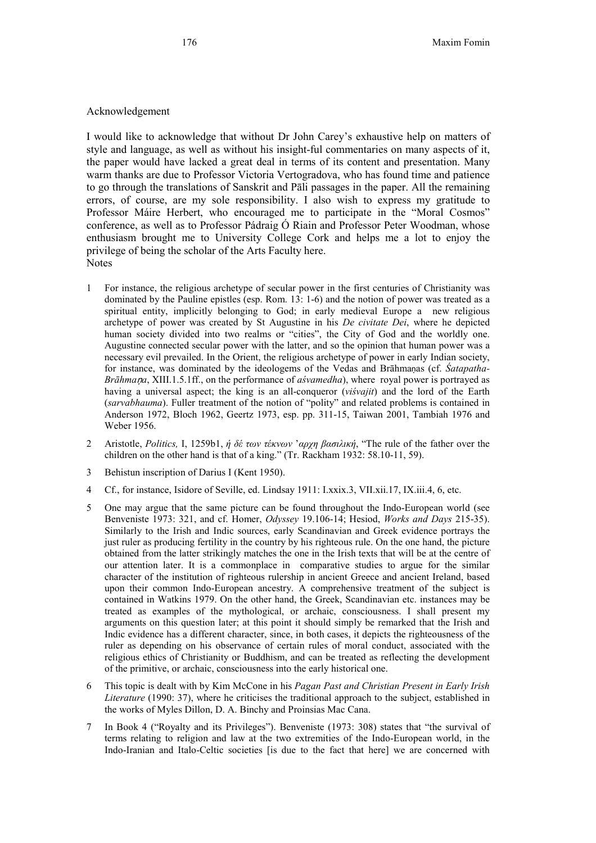#### Acknowledgement

I would like to acknowledge that without Dr John Carey's exhaustive help on matters of style and language, as well as without his insight-ful commentaries on many aspects of it, the paper would have lacked a great deal in terms of its content and presentation. Many warm thanks are due to Professor Victoria Vertogradova, who has found time and patience to go through the translations of Sanskrit and Pāli passages in the paper. All the remaining errors, of course, are my sole responsibility. I also wish to express my gratitude to Professor Máire Herbert, who encouraged me to participate in the "Moral Cosmos" conference, as well as to Professor Pádraig Ó Riain and Professor Peter Woodman, whose enthusiasm brought me to University College Cork and helps me a lot to enjoy the privilege of being the scholar of the Arts Faculty here. **Notes** 

- 1 For instance, the religious archetype of secular power in the first centuries of Christianity was dominated by the Pauline epistles (esp. Rom. 13: 1-6) and the notion of power was treated as a spiritual entity, implicitly belonging to God; in early medieval Europe a new religious archetype of power was created by St Augustine in his De civitate Dei, where he depicted human society divided into two realms or "cities", the City of God and the worldly one. Augustine connected secular power with the latter, and so the opinion that human power was a necessary evil prevailed. In the Orient, the religious archetype of power in early Indian society, for instance, was dominated by the ideologems of the Vedas and Brāhmaas (cf. Śatapatha-Brāhmana, XIII.1.5.1ff., on the performance of asymedha), where royal power is portrayed as having a universal aspect; the king is an all-conqueror *(visvajit)* and the lord of the Earth (sarvabhauma). Fuller treatment of the notion of "polity" and related problems is contained in Anderson 1972, Bloch 1962, Geertz 1973, esp. pp. 311-15, Taiwan 2001, Tambiah 1976 and Weber 1956.
- 2 Aristotle, Politics, I, 1259b1, ή δέ των τέκνων 'αρχη βασιλική, "The rule of the father over the children on the other hand is that of a king." (Tr. Rackham 1932: 58.10-11, 59).
- 3 Behistun inscription of Darius I (Kent 1950).
- 4 Cf., for instance, Isidore of Seville, ed. Lindsay 1911: I.xxix.3, VII.xii.17, IX.iii.4, 6, etc.
- 5 One may argue that the same picture can be found throughout the Indo-European world (see Benveniste 1973: 321, and cf. Homer, Odyssey 19.106-14; Hesiod, Works and Days 215-35). Similarly to the Irish and Indic sources, early Scandinavian and Greek evidence portrays the just ruler as producing fertility in the country by his righteous rule. On the one hand, the picture obtained from the latter strikingly matches the one in the Irish texts that will be at the centre of our attention later. It is a commonplace in comparative studies to argue for the similar character of the institution of righteous rulership in ancient Greece and ancient Ireland, based upon their common Indo-European ancestry. A comprehensive treatment of the subject is contained in Watkins 1979. On the other hand, the Greek, Scandinavian etc. instances may be treated as examples of the mythological, or archaic, consciousness. I shall present my arguments on this question later; at this point it should simply be remarked that the Irish and Indic evidence has a different character, since, in both cases, it depicts the righteousness of the ruler as depending on his observance of certain rules of moral conduct, associated with the religious ethics of Christianity or Buddhism, and can be treated as reflecting the development of the primitive, or archaic, consciousness into the early historical one.
- 6 This topic is dealt with by Kim McCone in his Pagan Past and Christian Present in Early Irish Literature (1990: 37), where he criticises the traditional approach to the subject, established in the works of Myles Dillon, D. A. Binchy and Proinsias Mac Cana.
- 7 In Book 4 ("Royalty and its Privileges"). Benveniste (1973: 308) states that "the survival of terms relating to religion and law at the two extremities of the Indo-European world, in the Indo-Iranian and Italo-Celtic societies [is due to the fact that here] we are concerned with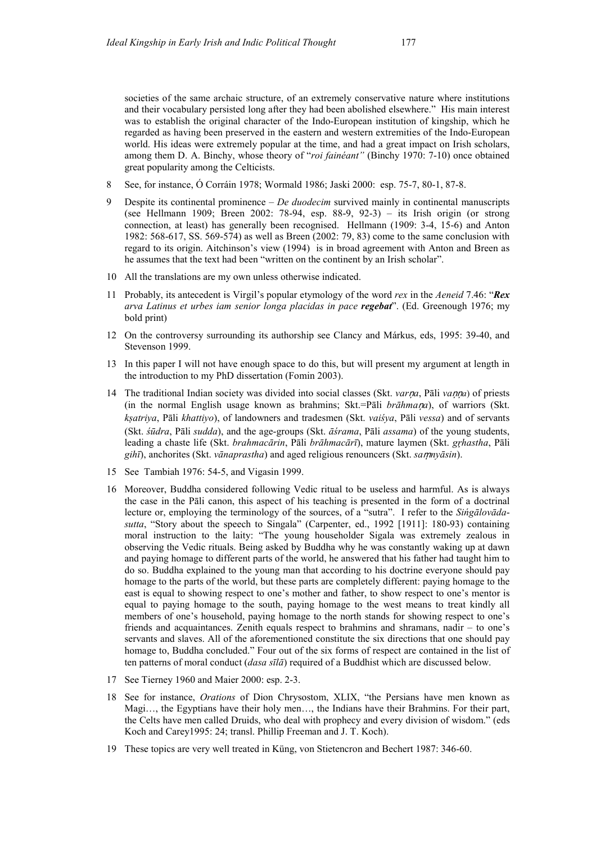societies of the same archaic structure, of an extremely conservative nature where institutions and their vocabulary persisted long after they had been abolished elsewhere." His main interest was to establish the original character of the Indo-European institution of kingship, which he regarded as having been preserved in the eastern and western extremities of the Indo-European world. His ideas were extremely popular at the time, and had a great impact on Irish scholars, among them D. A. Binchy, whose theory of "roi fainéant" (Binchy 1970: 7-10) once obtained great popularity among the Celticists.

- 8 See, for instance, Ó Corráin 1978; Wormald 1986; Jaski 2000: esp. 75-7, 80-1, 87-8.
- 9 Despite its continental prominence De duodecim survived mainly in continental manuscripts (see Hellmann 1909; Breen 2002: 78-94, esp. 88-9, 92-3) – its Irish origin (or strong connection, at least) has generally been recognised. Hellmann (1909: 3-4, 15-6) and Anton 1982: 568-617, SS. 569-574) as well as Breen (2002: 79, 83) come to the same conclusion with regard to its origin. Aitchinson's view (1994) is in broad agreement with Anton and Breen as he assumes that the text had been "written on the continent by an Irish scholar".
- 10 All the translations are my own unless otherwise indicated.
- 11 Probably, its antecedent is Virgil's popular etymology of the word rex in the Aeneid 7.46: "Rex arva Latinus et urbes iam senior longa placidas in pace regebat". (Ed. Greenough 1976; my bold print)
- 12 On the controversy surrounding its authorship see Clancy and Márkus, eds, 1995: 39-40, and Stevenson 1999.
- 13 In this paper I will not have enough space to do this, but will present my argument at length in the introduction to my PhD dissertation (Fomin 2003).
- 14 The traditional Indian society was divided into social classes (Skt. *varna*, Pāli *vanna*) of priests (in the normal English usage known as brahmins; Skt.=Pali  $brāhmaņa$ ), of warriors (Skt. ksatriya, Pāli khattiyo), of landowners and tradesmen (Skt. vaiśya, Pāli vessa) and of servants (Skt. śūdra, Pāli sudda), and the age-groups (Skt. āśrama, Pāli assama) of the young students, leading a chaste life (Skt. brahmacārin, Pāli brāhmacārī), mature laymen (Skt. grhastha, Pāli gihī), anchorites (Skt. vānaprastha) and aged religious renouncers (Skt. sam nyāsin).
- 15 See Tambiah 1976: 54-5, and Vigasin 1999.
- 16 Moreover, Buddha considered following Vedic ritual to be useless and harmful. As is always the case in the Pāli canon, this aspect of his teaching is presented in the form of a doctrinal lecture or, employing the terminology of the sources, of a "sutra". I refer to the Sińgālovādasutta, "Story about the speech to Singala" (Carpenter, ed., 1992 [1911]: 180-93) containing moral instruction to the laity: "The young householder Sigala was extremely zealous in observing the Vedic rituals. Being asked by Buddha why he was constantly waking up at dawn and paying homage to different parts of the world, he answered that his father had taught him to do so. Buddha explained to the young man that according to his doctrine everyone should pay homage to the parts of the world, but these parts are completely different: paying homage to the east is equal to showing respect to one's mother and father, to show respect to one's mentor is equal to paying homage to the south, paying homage to the west means to treat kindly all members of one's household, paying homage to the north stands for showing respect to one's friends and acquaintances. Zenith equals respect to brahmins and shramans, nadir – to one's servants and slaves. All of the aforementioned constitute the six directions that one should pay homage to, Buddha concluded." Four out of the six forms of respect are contained in the list of ten patterns of moral conduct (dasa sīlā) required of a Buddhist which are discussed below.
- 17 See Tierney 1960 and Maier 2000: esp. 2-3.
- 18 See for instance, Orations of Dion Chrysostom, XLIX, "the Persians have men known as Magi…, the Egyptians have their holy men…, the Indians have their Brahmins. For their part, the Celts have men called Druids, who deal with prophecy and every division of wisdom." (eds Koch and Carey1995: 24; transl. Phillip Freeman and J. T. Koch).
- 19 These topics are very well treated in Küng, von Stietencron and Bechert 1987: 346-60.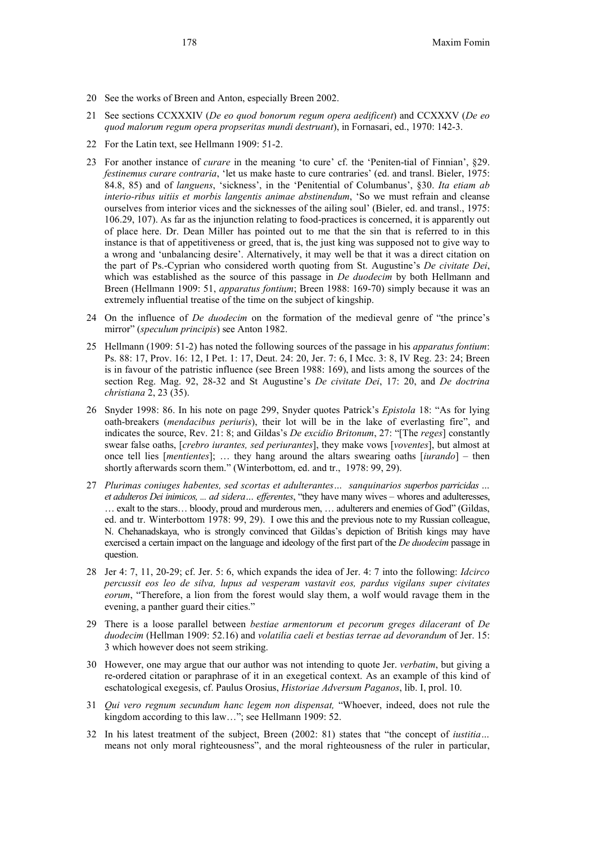- 20 See the works of Breen and Anton, especially Breen 2002.
- 21 See sections CCXXXIV (De eo quod bonorum regum opera aedificent) and CCXXXV (De eo quod malorum regum opera propseritas mundi destruant), in Fornasari, ed., 1970: 142-3.
- 22 For the Latin text, see Hellmann 1909: 51-2.
- 23 For another instance of curare in the meaning 'to cure' cf. the 'Peniten-tial of Finnian', §29. festinemus curare contraria, 'let us make haste to cure contraries' (ed. and transl. Bieler, 1975: 84.8, 85) and of *languens*, 'sickness', in the 'Penitential of Columbanus', §30. Ita etiam ab interio-ribus uitiis et morbis langentis animae abstinendum, 'So we must refrain and cleanse ourselves from interior vices and the sicknesses of the ailing soul' (Bieler, ed. and transl., 1975: 106.29, 107). As far as the injunction relating to food-practices is concerned, it is apparently out of place here. Dr. Dean Miller has pointed out to me that the sin that is referred to in this instance is that of appetitiveness or greed, that is, the just king was supposed not to give way to a wrong and 'unbalancing desire'. Alternatively, it may well be that it was a direct citation on the part of Ps.-Cyprian who considered worth quoting from St. Augustine's De civitate Dei, which was established as the source of this passage in *De duodecim* by both Hellmann and Breen (Hellmann 1909: 51, apparatus fontium; Breen 1988: 169-70) simply because it was an extremely influential treatise of the time on the subject of kingship.
- 24 On the influence of De duodecim on the formation of the medieval genre of "the prince's mirror" (speculum principis) see Anton 1982.
- 25 Hellmann (1909: 51-2) has noted the following sources of the passage in his apparatus fontium: Ps. 88: 17, Prov. 16: 12, I Pet. 1: 17, Deut. 24: 20, Jer. 7: 6, I Mcc. 3: 8, IV Reg. 23: 24; Breen is in favour of the patristic influence (see Breen 1988: 169), and lists among the sources of the section Reg. Mag. 92, 28-32 and St Augustine's De civitate Dei, 17: 20, and De doctrina christiana 2, 23 (35).
- 26 Snyder 1998: 86. In his note on page 299, Snyder quotes Patrick's Epistola 18: "As for lying oath-breakers (mendacibus periuris), their lot will be in the lake of everlasting fire", and indicates the source, Rev. 21: 8; and Gildas's *De excidio Britonum*, 27: "[The *reges*] constantly swear false oaths, [crebro iurantes, sed periurantes], they make vows [voventes], but almost at once tell lies  $[mentioned]$ ; ... they hang around the altars swearing oaths  $[iurando]$  – then shortly afterwards scorn them." (Winterbottom, ed. and tr., 1978: 99, 29).
- 27 Plurimas coniuges habentes, sed scortas et adulterantes… sanquinarios superbos parricidas … et adulteros Dei inimicos, ... ad sidera… efferentes, "they have many wives – whores and adulteresses, … exalt to the stars… bloody, proud and murderous men, … adulterers and enemies of God" (Gildas, ed. and tr. Winterbottom 1978: 99, 29). I owe this and the previous note to my Russian colleague, N. Chehanadskaya, who is strongly convinced that Gildas's depiction of British kings may have exercised a certain impact on the language and ideology of the first part of the De duodecim passage in question.
- 28 Jer 4: 7, 11, 20-29; cf. Jer. 5: 6, which expands the idea of Jer. 4: 7 into the following: Idcirco percussit eos leo de silva, lupus ad vesperam vastavit eos, pardus vigilans super civitates eorum, "Therefore, a lion from the forest would slay them, a wolf would ravage them in the evening, a panther guard their cities."
- 29 There is a loose parallel between bestiae armentorum et pecorum greges dilacerant of De duodecim (Hellman 1909: 52.16) and volatilia caeli et bestias terrae ad devorandum of Jer. 15: 3 which however does not seem striking.
- 30 However, one may argue that our author was not intending to quote Jer. verbatim, but giving a re-ordered citation or paraphrase of it in an exegetical context. As an example of this kind of eschatological exegesis, cf. Paulus Orosius, Historiae Adversum Paganos, lib. I, prol. 10.
- 31 Qui vero regnum secundum hanc legem non dispensat, "Whoever, indeed, does not rule the kingdom according to this law…"; see Hellmann 1909: 52.
- 32 In his latest treatment of the subject, Breen (2002: 81) states that "the concept of iustitia… means not only moral righteousness", and the moral righteousness of the ruler in particular,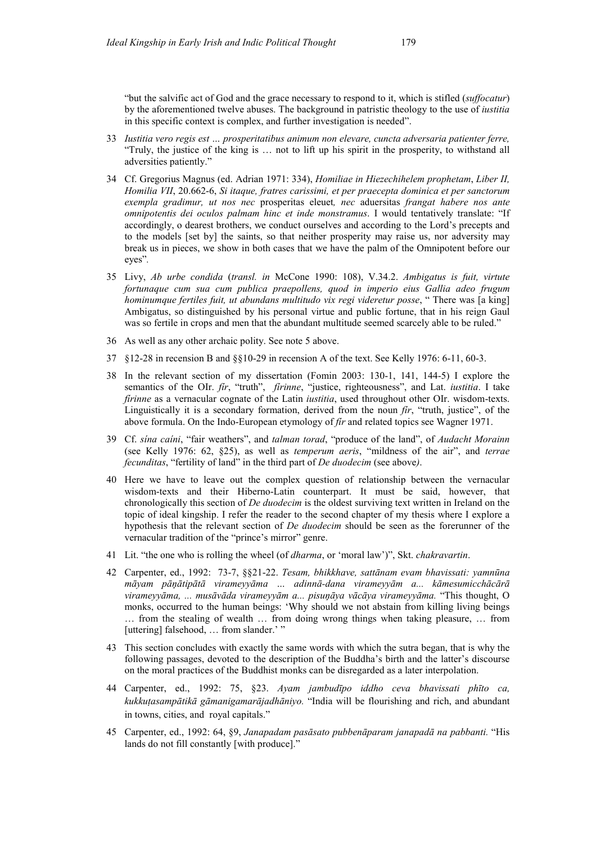"but the salvific act of God and the grace necessary to respond to it, which is stifled (suffocatur) by the aforementioned twelve abuses. The background in patristic theology to the use of *justitia* in this specific context is complex, and further investigation is needed".

- 33 Iustitia vero regis est … prosperitatibus animum non elevare, cuncta adversaria patienter ferre, "Truly, the justice of the king is … not to lift up his spirit in the prosperity, to withstand all adversities patiently."
- 34 Cf. Gregorius Magnus (ed. Adrian 1971: 334), Homiliae in Hiezechihelem prophetam, Liber II, Homilia VII, 20.662-6, Si itaque, fratres carissimi, et per praecepta dominica et per sanctorum exempla gradimur, ut nos nec prosperitas eleuet, nec aduersitas frangat habere nos ante omnipotentis dei oculos palmam hinc et inde monstramus. I would tentatively translate: "If accordingly, o dearest brothers, we conduct ourselves and according to the Lord's precepts and to the models [set by] the saints, so that neither prosperity may raise us, nor adversity may break us in pieces, we show in both cases that we have the palm of the Omnipotent before our eyes".
- 35 Livy, Ab urbe condida (transl. in McCone 1990: 108), V.34.2. Ambigatus is fuit, virtute fortunaque cum sua cum publica praepollens, quod in imperio eius Gallia adeo frugum hominumque fertiles fuit, ut abundans multitudo vix regi videretur posse, "There was [a king] Ambigatus, so distinguished by his personal virtue and public fortune, that in his reign Gaul was so fertile in crops and men that the abundant multitude seemed scarcely able to be ruled."
- 36 As well as any other archaic polity. See note 5 above.
- 37 §12-28 in recension B and §§10-29 in recension A of the text. See Kelly 1976: 6-11, 60-3.
- 38 In the relevant section of my dissertation (Fomin 2003: 130-1, 141, 144-5) I explore the semantics of the OIr. fir, "truth", firinne, "justice, righteousness", and Lat. iustitia. I take firinne as a vernacular cognate of the Latin *iustitia*, used throughout other OIr. wisdom-texts. Linguistically it is a secondary formation, derived from the noun  $\hat{H}r$ , "truth, justice", of the above formula. On the Indo-European etymology of fír and related topics see Wagner 1971.
- 39 Cf. sína caíni, "fair weathers", and talman torad, "produce of the land", of Audacht Morainn (see Kelly 1976: 62, §25), as well as temperum aeris, "mildness of the air", and terrae fecunditas, "fertility of land" in the third part of De duodecim (see above).
- 40 Here we have to leave out the complex question of relationship between the vernacular wisdom-texts and their Hiberno-Latin counterpart. It must be said, however, that chronologically this section of *De duodecim* is the oldest surviving text written in Ireland on the topic of ideal kingship. I refer the reader to the second chapter of my thesis where I explore a hypothesis that the relevant section of De duodecim should be seen as the forerunner of the vernacular tradition of the "prince's mirror" genre.
- 41 Lit. "the one who is rolling the wheel (of dharma, or 'moral law')", Skt. chakravartin.
- 42 Carpenter, ed., 1992: 73-7, §§21-22. Tesam, bhikkhave, sattānam evam bhavissati: yamnūna māyam pāņātipātā virameyyāma … adinnā-dana virameyyām a... kāmesumicchācārā virameyyāma, ... musāvāda virameyyām a... pisuņāya vācāya virameyyāma. "This thought, O monks, occurred to the human beings: 'Why should we not abstain from killing living beings … from the stealing of wealth … from doing wrong things when taking pleasure, … from [uttering] falsehood, ... from slander.' "
- 43 This section concludes with exactly the same words with which the sutra began, that is why the following passages, devoted to the description of the Buddha's birth and the latter's discourse on the moral practices of the Buddhist monks can be disregarded as a later interpolation.
- 44 Carpenter, ed., 1992: 75, §23. Ayam jambudīpo iddho ceva bhavissati phīto ca, kukkuasampātikā gāmanigamarājadhāniyo. "India will be flourishing and rich, and abundant in towns, cities, and royal capitals."
- 45 Carpenter, ed., 1992: 64, §9, Janapadam pasāsato pubbenāparam janapadā na pabbanti. "His lands do not fill constantly [with produce]."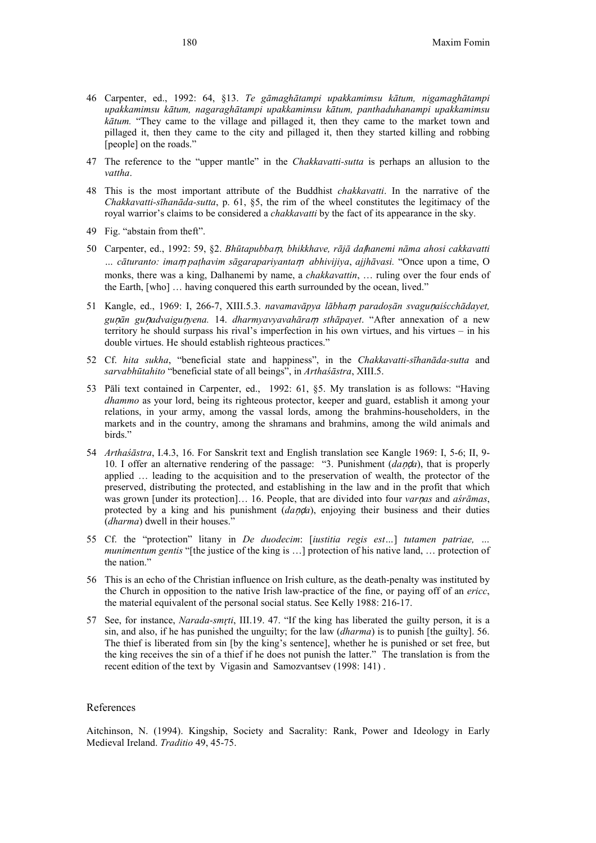- 46 Carpenter, ed., 1992: 64, §13. Te gāmaghātampi upakkamimsu kātum, nigamaghātampi upakkamimsu kātum, nagaraghātampi upakkamimsu kātum, panthaduhanampi upakkamimsu kātum. "They came to the village and pillaged it, then they came to the market town and pillaged it, then they came to the city and pillaged it, then they started killing and robbing [people] on the roads."
- 47 The reference to the "upper mantle" in the *Chakkavatti-sutta* is perhaps an allusion to the vattha.
- 48 This is the most important attribute of the Buddhist chakkavatti. In the narrative of the Chakkavatti-sīhanāda-sutta, p. 61, §5, the rim of the wheel constitutes the legitimacy of the royal warrior's claims to be considered a *chakkavatti* by the fact of its appearance in the sky.
- 49 Fig. "abstain from theft".
- 50 Carpenter, ed., 1992: 59, §2. Bhūtapubbam, bhikkhave, rājā daļhanemi nāma ahosi cakkavatti ... cāturanto: imam pathavim sāgarapariyantam abhivijiya, ajjhāvasi. "Once upon a time, O monks, there was a king, Dalhanemi by name, a *chakkavattin*, ... ruling over the four ends of the Earth, [who] … having conquered this earth surrounded by the ocean, lived."
- 51 Kangle, ed., 1969: I, 266-7, XIII.5.3. navamavāpya lābham paradosān svaguņaiścchādayet, guņān guņadvaiguņyena. 14. dharmyavyavahāram sthāpayet. "After annexation of a new territory he should surpass his rival's imperfection in his own virtues, and his virtues – in his double virtues. He should establish righteous practices."
- 52 Cf. hita sukha, "beneficial state and happiness", in the Chakkavatti-sīhanāda-sutta and sarvabhūtahito "beneficial state of all beings", in Arthaśāstra, XIII.5.
- 53 Pāli text contained in Carpenter, ed., 1992: 61, §5. My translation is as follows: "Having dhammo as your lord, being its righteous protector, keeper and guard, establish it among your relations, in your army, among the vassal lords, among the brahmins-householders, in the markets and in the country, among the shramans and brahmins, among the wild animals and birds."
- 54 Arthaśāstra, I.4.3, 16. For Sanskrit text and English translation see Kangle 1969: I, 5-6; II, 9- 10. I offer an alternative rendering of the passage: "3. Punishment  $(dapda)$ , that is properly applied … leading to the acquisition and to the preservation of wealth, the protector of the preserved, distributing the protected, and establishing in the law and in the profit that which was grown [under its protection]... 16. People, that are divided into four *varmas* and  $a\acute{s}r\bar{a}mas$ , protected by a king and his punishment  $(dan\alpha a)$ , enjoying their business and their duties (*dharma*) dwell in their houses."
- 55 Cf. the "protection" litany in De duodecim: [iustitia regis est…] tutamen patriae, … munimentum gentis "[the justice of the king is ...] protection of his native land, ... protection of the nation."
- 56 This is an echo of the Christian influence on Irish culture, as the death-penalty was instituted by the Church in opposition to the native Irish law-practice of the fine, or paying off of an ericc, the material equivalent of the personal social status. See Kelly 1988: 216-17.
- 57 See, for instance, Narada-smŗti, III.19. 47. "If the king has liberated the guilty person, it is a sin, and also, if he has punished the unguilty; for the law  $(dharma)$  is to punish [the guilty]. 56. The thief is liberated from sin [by the king's sentence], whether he is punished or set free, but the king receives the sin of a thief if he does not punish the latter." The translation is from the recent edition of the text by Vigasin and Samozvantsev (1998: 141) .

## References

Aitchinson, N. (1994). Kingship, Society and Sacrality: Rank, Power and Ideology in Early Medieval Ireland. Traditio 49, 45-75.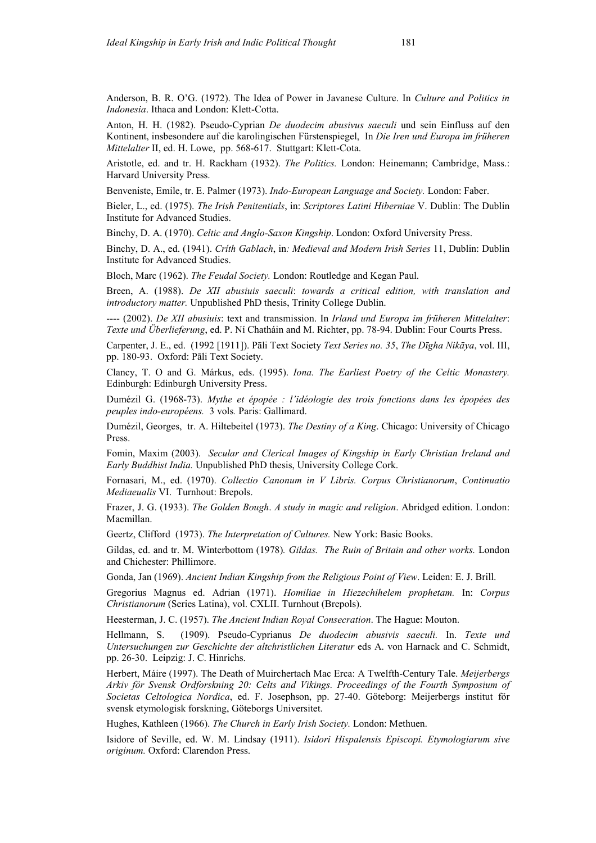Anderson, B. R. O'G. (1972). The Idea of Power in Javanese Culture. In Culture and Politics in Indonesia. Ithaca and London: Klett-Cotta.

Anton, H. H. (1982). Pseudo-Cyprian De duodecim abusivus saeculi und sein Einfluss auf den Kontinent, insbesondere auf die karolingischen Fürstenspiegel, In Die Iren und Europa im früheren Mittelalter II, ed. H. Lowe, pp. 568-617. Stuttgart: Klett-Cota.

Aristotle, ed. and tr. H. Rackham (1932). The Politics. London: Heinemann; Cambridge, Mass.: Harvard University Press.

Benveniste, Emile, tr. E. Palmer (1973). Indo-European Language and Society. London: Faber.

Bieler, L., ed. (1975). The Irish Penitentials, in: Scriptores Latini Hiberniae V. Dublin: The Dublin Institute for Advanced Studies.

Binchy, D. A. (1970). Celtic and Anglo-Saxon Kingship. London: Oxford University Press.

Binchy, D. A., ed. (1941). Críth Gablach, in: Medieval and Modern Irish Series 11, Dublin: Dublin Institute for Advanced Studies.

Bloch, Marc (1962). The Feudal Society. London: Routledge and Kegan Paul.

Breen, A. (1988). De XII abusiuis saeculi: towards a critical edition, with translation and introductory matter. Unpublished PhD thesis, Trinity College Dublin.

---- (2002). De XII abusiuis: text and transmission. In Irland und Europa im früheren Mittelalter: Texte und Überlieferung, ed. P. Ní Chatháin and M. Richter, pp. 78-94. Dublin: Four Courts Press.

Carpenter, J. E., ed. (1992 [1911]). Pāli Text Society Text Series no. 35, The Dīgha Nikāya, vol. III, pp. 180-93. Oxford: Pāli Text Society.

Clancy, T. O and G. Márkus, eds. (1995). Iona. The Earliest Poetry of the Celtic Monastery. Edinburgh: Edinburgh University Press.

Dumézil G. (1968-73). Mythe et épopée : l'idéologie des trois fonctions dans les épopées des peuples indo-européens. 3 vols. Paris: Gallimard.

Dumézil, Georges, tr. A. Hiltebeitel (1973). The Destiny of a King. Chicago: University of Chicago Press.

Fomin, Maxim (2003). Secular and Clerical Images of Kingship in Early Christian Ireland and Early Buddhist India. Unpublished PhD thesis, University College Cork.

Fornasari, M., ed. (1970). Collectio Canonum in V Libris. Corpus Christianorum, Continuatio Mediaeualis VI. Turnhout: Brepols.

Frazer, J. G. (1933). The Golden Bough. A study in magic and religion. Abridged edition. London: Macmillan.

Geertz, Clifford (1973). The Interpretation of Cultures. New York: Basic Books.

Gildas, ed. and tr. M. Winterbottom (1978). Gildas. The Ruin of Britain and other works. London and Chichester: Phillimore.

Gonda, Jan (1969). Ancient Indian Kingship from the Religious Point of View. Leiden: E. J. Brill.

Gregorius Magnus ed. Adrian (1971). Homiliae in Hiezechihelem prophetam. In: Corpus Christianorum (Series Latina), vol. CXLII. Turnhout (Brepols).

Heesterman, J. C. (1957). The Ancient Indian Royal Consecration. The Hague: Mouton.

Hellmann, S. (1909). Pseudo-Cyprianus De duodecim abusivis saeculi. In. Texte und Untersuchungen zur Geschichte der altchristlichen Literatur eds A. von Harnack and C. Schmidt, pp. 26-30. Leipzig: J. C. Hinrichs.

Herbert, Máire (1997). The Death of Muirchertach Mac Erca: A Twelfth-Century Tale. Meijerbergs Arkiv för Svensk Ordforskning 20: Celts and Vikings. Proceedings of the Fourth Symposium of Societas Celtologica Nordica, ed. F. Josephson, pp. 27-40. Göteborg: Meijerbergs institut för svensk etymologisk forskning, Göteborgs Universitet.

Hughes, Kathleen (1966). The Church in Early Irish Society. London: Methuen.

Isidore of Seville, ed. W. M. Lindsay (1911). Isidori Hispalensis Episcopi. Etymologiarum sive originum. Oxford: Clarendon Press.